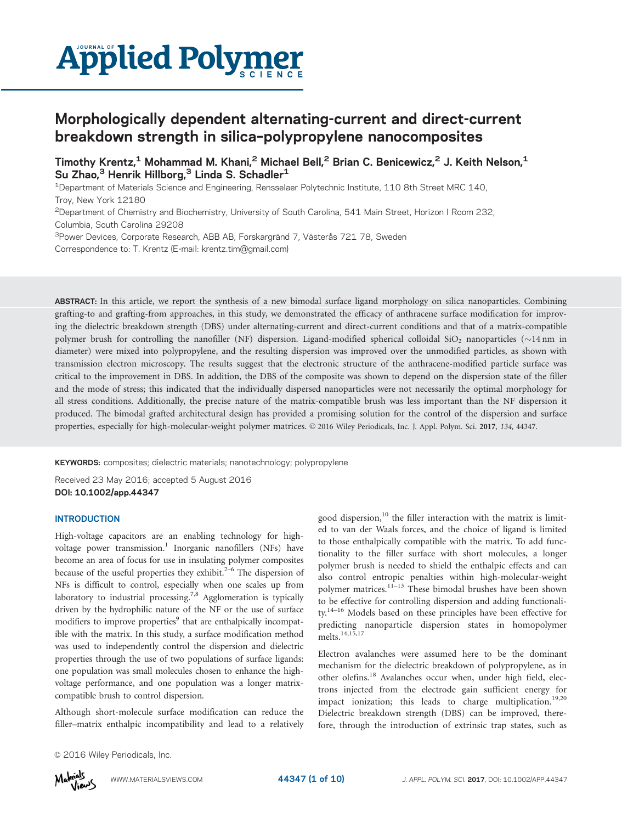# **Applied Polymer**

# Morphologically dependent alternating-current and direct-current breakdown strength in silica–polypropylene nanocomposites

Timothy Krentz,<sup>1</sup> Mohammad M. Khani,<sup>2</sup> Michael Bell,<sup>2</sup> Brian C. Benicewicz,<sup>2</sup> J. Keith Nelson,<sup>1</sup> Su Zhao, $3$  Henrik Hillborg, $3$  Linda S. Schadler<sup>1</sup>

 $1$ Department of Materials Science and Engineering, Rensselaer Polytechnic Institute, 110 8th Street MRC 140, Troy, New York 12180

<sup>2</sup>Department of Chemistry and Biochemistry, University of South Carolina, 541 Main Street, Horizon I Room 232, Columbia, South Carolina 29208

<sup>3</sup>Power Devices, Corporate Research, ABB AB, Forskargränd 7, Västerås 721 78, Sweden Correspondence to: T. Krentz (E-mail: krentz.tim@gmail.com)

ABSTRACT: In this article, we report the synthesis of a new bimodal surface ligand morphology on silica nanoparticles. Combining grafting-to and grafting-from approaches, in this study, we demonstrated the efficacy of anthracene surface modification for improving the dielectric breakdown strength (DBS) under alternating-current and direct-current conditions and that of a matrix-compatible polymer brush for controlling the nanofiller (NF) dispersion. Ligand-modified spherical colloidal SiO $_2$  nanoparticles ( $\sim$ 14 nm in diameter) were mixed into polypropylene, and the resulting dispersion was improved over the unmodified particles, as shown with transmission electron microscopy. The results suggest that the electronic structure of the anthracene-modified particle surface was critical to the improvement in DBS. In addition, the DBS of the composite was shown to depend on the dispersion state of the filler and the mode of stress; this indicated that the individually dispersed nanoparticles were not necessarily the optimal morphology for all stress conditions. Additionally, the precise nature of the matrix-compatible brush was less important than the NF dispersion it produced. The bimodal grafted architectural design has provided a promising solution for the control of the dispersion and surface properties, especially for high-molecular-weight polymer matrices.  $\odot$  2016 Wiley Periodicals, Inc. J. Appl. Polym. Sci. 2017, 134, 44347.

KEYWORDS: composites; dielectric materials; nanotechnology; polypropylene

Received 23 May 2016; accepted 5 August 2016 DOI: 10.1002/app.44347

#### **INTRODUCTION**

High-voltage capacitors are an enabling technology for highvoltage power transmission.<sup>1</sup> Inorganic nanofillers (NFs) have become an area of focus for use in insulating polymer composites because of the useful properties they exhibit.<sup>2–6</sup> The dispersion of NFs is difficult to control, especially when one scales up from laboratory to industrial processing.<sup>7,8</sup> Agglomeration is typically driven by the hydrophilic nature of the NF or the use of surface modifiers to improve properties<sup>9</sup> that are enthalpically incompatible with the matrix. In this study, a surface modification method was used to independently control the dispersion and dielectric properties through the use of two populations of surface ligands: one population was small molecules chosen to enhance the highvoltage performance, and one population was a longer matrixcompatible brush to control dispersion.

Although short-molecule surface modification can reduce the filler–matrix enthalpic incompatibility and lead to a relatively good dispersion, $10$  the filler interaction with the matrix is limited to van der Waals forces, and the choice of ligand is limited to those enthalpically compatible with the matrix. To add functionality to the filler surface with short molecules, a longer polymer brush is needed to shield the enthalpic effects and can also control entropic penalties within high-molecular-weight polymer matrices.<sup>11-13</sup> These bimodal brushes have been shown to be effective for controlling dispersion and adding functionality.<sup>14–16</sup> Models based on these principles have been effective for predicting nanoparticle dispersion states in homopolymer melts.<sup>14,15,17</sup>

Electron avalanches were assumed here to be the dominant mechanism for the dielectric breakdown of polypropylene, as in other olefins.18 Avalanches occur when, under high field, electrons injected from the electrode gain sufficient energy for impact ionization; this leads to charge multiplication.<sup>19,20</sup> Dielectric breakdown strength (DBS) can be improved, therefore, through the introduction of extrinsic trap states, such as

 $©$  2016 Wiley Periodicals, Inc.

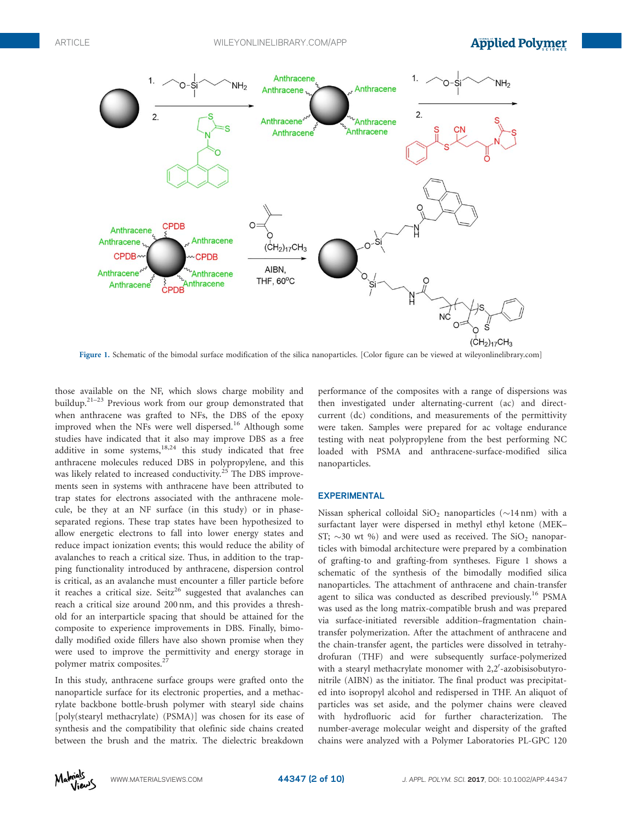

Figure 1. Schematic of the bimodal surface modification of the silica nanoparticles. [Color figure can be viewed at [wileyonlinelibrary.com\]](http://wileyonlinelibrary.com)

those available on the NF, which slows charge mobility and buildup.21–23 Previous work from our group demonstrated that when anthracene was grafted to NFs, the DBS of the epoxy improved when the NFs were well dispersed.<sup>16</sup> Although some studies have indicated that it also may improve DBS as a free additive in some systems, $18,24$  this study indicated that free anthracene molecules reduced DBS in polypropylene, and this was likely related to increased conductivity.<sup>25</sup> The DBS improvements seen in systems with anthracene have been attributed to trap states for electrons associated with the anthracene molecule, be they at an NF surface (in this study) or in phaseseparated regions. These trap states have been hypothesized to allow energetic electrons to fall into lower energy states and reduce impact ionization events; this would reduce the ability of avalanches to reach a critical size. Thus, in addition to the trapping functionality introduced by anthracene, dispersion control is critical, as an avalanche must encounter a filler particle before it reaches a critical size. Seitz<sup>26</sup> suggested that avalanches can reach a critical size around 200 nm, and this provides a threshold for an interparticle spacing that should be attained for the composite to experience improvements in DBS. Finally, bimodally modified oxide fillers have also shown promise when they were used to improve the permittivity and energy storage in polymer matrix composites.27

In this study, anthracene surface groups were grafted onto the nanoparticle surface for its electronic properties, and a methacrylate backbone bottle-brush polymer with stearyl side chains [poly(stearyl methacrylate) (PSMA)] was chosen for its ease of synthesis and the compatibility that olefinic side chains created between the brush and the matrix. The dielectric breakdown

performance of the composites with a range of dispersions was then investigated under alternating-current (ac) and directcurrent (dc) conditions, and measurements of the permittivity were taken. Samples were prepared for ac voltage endurance testing with neat polypropylene from the best performing NC loaded with PSMA and anthracene-surface-modified silica nanoparticles.

#### EXPERIMENTAL

Nissan spherical colloidal  $SiO<sub>2</sub>$  nanoparticles ( $\sim$ 14 nm) with a surfactant layer were dispersed in methyl ethyl ketone (MEK– ST;  $\sim$ 30 wt %) and were used as received. The SiO<sub>2</sub> nanoparticles with bimodal architecture were prepared by a combination of grafting-to and grafting-from syntheses. Figure 1 shows a schematic of the synthesis of the bimodally modified silica nanoparticles. The attachment of anthracene and chain-transfer agent to silica was conducted as described previously.<sup>16</sup> PSMA was used as the long matrix-compatible brush and was prepared via surface-initiated reversible addition–fragmentation chaintransfer polymerization. After the attachment of anthracene and the chain-transfer agent, the particles were dissolved in tetrahydrofuran (THF) and were subsequently surface-polymerized with a stearyl methacrylate monomer with 2,2'-azobisisobutyronitrile (AIBN) as the initiator. The final product was precipitated into isopropyl alcohol and redispersed in THF. An aliquot of particles was set aside, and the polymer chains were cleaved with hydrofluoric acid for further characterization. The number-average molecular weight and dispersity of the grafted chains were analyzed with a Polymer Laboratories PL-GPC 120

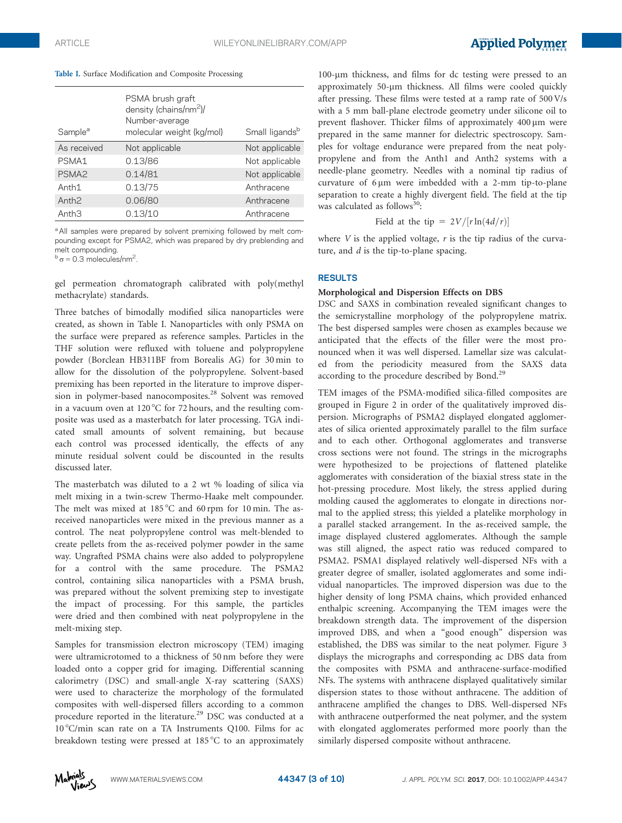|  |  | Table I. Surface Modification and Composite Processing |  |  |  |
|--|--|--------------------------------------------------------|--|--|--|
|--|--|--------------------------------------------------------|--|--|--|

| Sample <sup>a</sup> | PSMA brush graft<br>density (chains/nm <sup>2</sup> )/<br>Number-average<br>molecular weight (kg/mol) | Small ligands <sup>b</sup> |
|---------------------|-------------------------------------------------------------------------------------------------------|----------------------------|
| As received         | Not applicable                                                                                        | Not applicable             |
| PSMA1               | 0.13/86                                                                                               | Not applicable             |
| PSMA <sub>2</sub>   | 0.14/81                                                                                               | Not applicable             |
| Anth1               | 0.13/75                                                                                               | Anthracene                 |
| Anth <sub>2</sub>   | 0.06/80                                                                                               | Anthracene                 |
| Anth <sub>3</sub>   | 0.13/10                                                                                               | Anthracene                 |

<sup>a</sup> All samples were prepared by solvent premixing followed by melt compounding except for PSMA2, which was prepared by dry preblending and melt compounding.

 $\sigma$  = 0.3 molecules/nm<sup>2</sup>.

gel permeation chromatograph calibrated with poly(methyl methacrylate) standards.

Three batches of bimodally modified silica nanoparticles were created, as shown in Table I. Nanoparticles with only PSMA on the surface were prepared as reference samples. Particles in the THF solution were refluxed with toluene and polypropylene powder (Borclean HB311BF from Borealis AG) for 30 min to allow for the dissolution of the polypropylene. Solvent-based premixing has been reported in the literature to improve dispersion in polymer-based nanocomposites.<sup>28</sup> Solvent was removed in a vacuum oven at  $120^{\circ}$ C for 72 hours, and the resulting composite was used as a masterbatch for later processing. TGA indicated small amounts of solvent remaining, but because each control was processed identically, the effects of any minute residual solvent could be discounted in the results discussed later.

The masterbatch was diluted to a 2 wt % loading of silica via melt mixing in a twin-screw Thermo-Haake melt compounder. The melt was mixed at  $185^{\circ}$ C and 60 rpm for 10 min. The asreceived nanoparticles were mixed in the previous manner as a control. The neat polypropylene control was melt-blended to create pellets from the as-received polymer powder in the same way. Ungrafted PSMA chains were also added to polypropylene for a control with the same procedure. The PSMA2 control, containing silica nanoparticles with a PSMA brush, was prepared without the solvent premixing step to investigate the impact of processing. For this sample, the particles were dried and then combined with neat polypropylene in the melt-mixing step.

Samples for transmission electron microscopy (TEM) imaging were ultramicrotomed to a thickness of 50 nm before they were loaded onto a copper grid for imaging. Differential scanning calorimetry (DSC) and small-angle X-ray scattering (SAXS) were used to characterize the morphology of the formulated composites with well-dispersed fillers according to a common procedure reported in the literature.<sup>29</sup> DSC was conducted at a 10 8C/min scan rate on a TA Instruments Q100. Films for ac breakdown testing were pressed at  $185^{\circ}$ C to an approximately 100-µm thickness, and films for dc testing were pressed to an approximately 50-µm thickness. All films were cooled quickly after pressing. These films were tested at a ramp rate of 500 V/s with a 5 mm ball-plane electrode geometry under silicone oil to prevent flashover. Thicker films of approximately  $400 \mu m$  were prepared in the same manner for dielectric spectroscopy. Samples for voltage endurance were prepared from the neat polypropylene and from the Anth1 and Anth2 systems with a needle-plane geometry. Needles with a nominal tip radius of curvature of  $6 \mu m$  were imbedded with a 2-mm tip-to-plane separation to create a highly divergent field. The field at the tip was calculated as follows<sup>30</sup>:

Field at the tip =  $2V/[r \ln(4d/r)]$ 

where  $V$  is the applied voltage,  $r$  is the tip radius of the curvature, and  $d$  is the tip-to-plane spacing.

### RESULTS

#### Morphological and Dispersion Effects on DBS

DSC and SAXS in combination revealed significant changes to the semicrystalline morphology of the polypropylene matrix. The best dispersed samples were chosen as examples because we anticipated that the effects of the filler were the most pronounced when it was well dispersed. Lamellar size was calculated from the periodicity measured from the SAXS data according to the procedure described by Bond.<sup>29</sup>

TEM images of the PSMA-modified silica-filled composites are grouped in Figure 2 in order of the qualitatively improved dispersion. Micrographs of PSMA2 displayed elongated agglomerates of silica oriented approximately parallel to the film surface and to each other. Orthogonal agglomerates and transverse cross sections were not found. The strings in the micrographs were hypothesized to be projections of flattened platelike agglomerates with consideration of the biaxial stress state in the hot-pressing procedure. Most likely, the stress applied during molding caused the agglomerates to elongate in directions normal to the applied stress; this yielded a platelike morphology in a parallel stacked arrangement. In the as-received sample, the image displayed clustered agglomerates. Although the sample was still aligned, the aspect ratio was reduced compared to PSMA2. PSMA1 displayed relatively well-dispersed NFs with a greater degree of smaller, isolated agglomerates and some individual nanoparticles. The improved dispersion was due to the higher density of long PSMA chains, which provided enhanced enthalpic screening. Accompanying the TEM images were the breakdown strength data. The improvement of the dispersion improved DBS, and when a "good enough" dispersion was established, the DBS was similar to the neat polymer. Figure 3 displays the micrographs and corresponding ac DBS data from the composites with PSMA and anthracene-surface-modified NFs. The systems with anthracene displayed qualitatively similar dispersion states to those without anthracene. The addition of anthracene amplified the changes to DBS. Well-dispersed NFs with anthracene outperformed the neat polymer, and the system with elongated agglomerates performed more poorly than the similarly dispersed composite without anthracene.

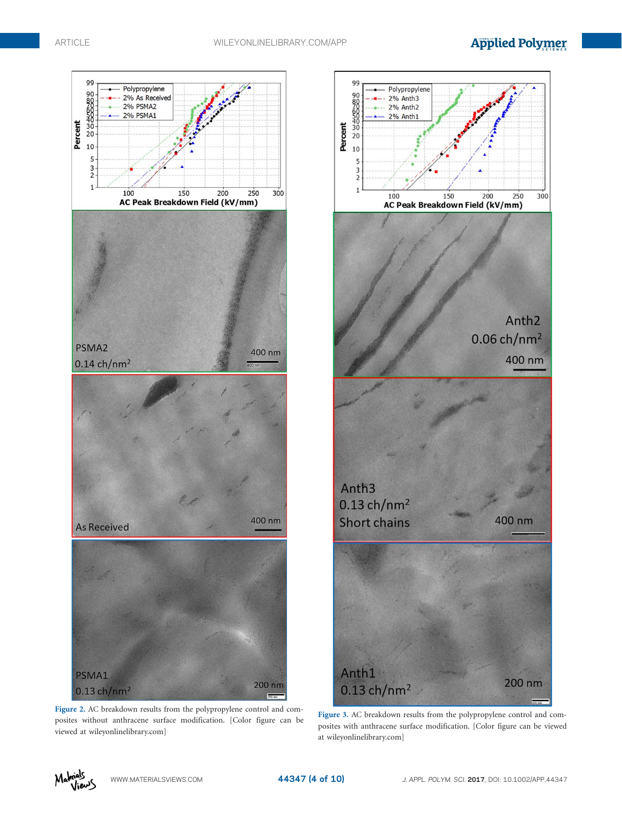





Figure 3. AC breakdown results from the polypropylene control and composites with anthracene surface modification. [Color figure can be viewed at [wileyonlinelibrary.com](http://wileyonlinelibrary.com)]

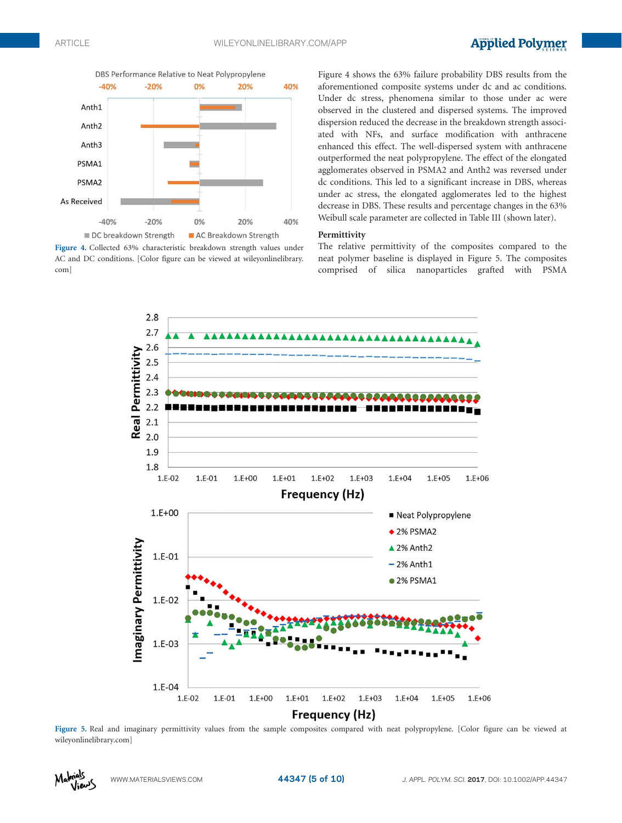

Figure 4 shows the 63% failure probability DBS results from the aforementioned composite systems under dc and ac conditions. Under dc stress, phenomena similar to those under ac were observed in the clustered and dispersed systems. The improved dispersion reduced the decrease in the breakdown strength associated with NFs, and surface modification with anthracene enhanced this effect. The well-dispersed system with anthracene outperformed the neat polypropylene. The effect of the elongated agglomerates observed in PSMA2 and Anth2 was reversed under dc conditions. This led to a significant increase in DBS, whereas under ac stress, the elongated agglomerates led to the highest decrease in DBS. These results and percentage changes in the 63% Weibull scale parameter are collected in Table III (shown later).

#### **Permittivity**

Figure 4. Collected 63% characteristic breakdown strength values under AC and DC conditions. [Color figure can be viewed at [wileyonlinelibrary.](http://wileyonlinelibrary.com) [com\]](http://wileyonlinelibrary.com)

The relative permittivity of the composites compared to the neat polymer baseline is displayed in Figure 5. The composites comprised of silica nanoparticles grafted with PSMA



Figure 5. Real and imaginary permittivity values from the sample composites compared with neat polypropylene. [Color figure can be viewed at [wileyonlinelibrary.com](http://wileyonlinelibrary.com)]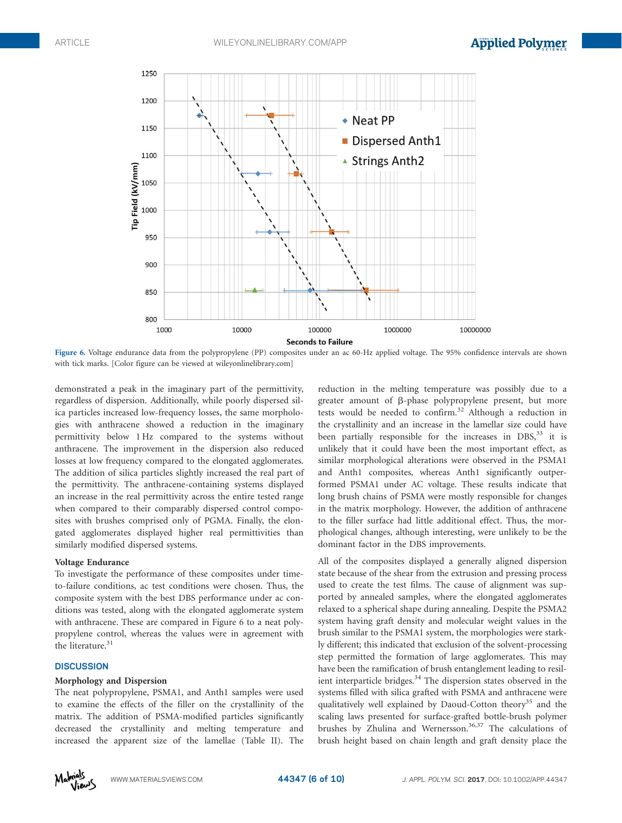

Figure 6. Voltage endurance data from the polypropylene (PP) composites under an ac 60-Hz applied voltage. The 95% confidence intervals are shown with tick marks. [Color figure can be viewed at [wileyonlinelibrary.com\]](http://wileyonlinelibrary.com)

demonstrated a peak in the imaginary part of the permittivity, regardless of dispersion. Additionally, while poorly dispersed silica particles increased low-frequency losses, the same morphologies with anthracene showed a reduction in the imaginary permittivity below 1 Hz compared to the systems without anthracene. The improvement in the dispersion also reduced losses at low frequency compared to the elongated agglomerates. The addition of silica particles slightly increased the real part of the permittivity. The anthracene-containing systems displayed an increase in the real permittivity across the entire tested range when compared to their comparably dispersed control composites with brushes comprised only of PGMA. Finally, the elongated agglomerates displayed higher real permittivities than similarly modified dispersed systems.

# Voltage Endurance

To investigate the performance of these composites under timeto-failure conditions, ac test conditions were chosen. Thus, the composite system with the best DBS performance under ac conditions was tested, along with the elongated agglomerate system with anthracene. These are compared in Figure 6 to a neat polypropylene control, whereas the values were in agreement with the literature.<sup>31</sup>

#### **DISCUSSION**

# Morphology and Dispersion

The neat polypropylene, PSMA1, and Anth1 samples were used to examine the effects of the filler on the crystallinity of the matrix. The addition of PSMA-modified particles significantly decreased the crystallinity and melting temperature and increased the apparent size of the lamellae (Table II). The

reduction in the melting temperature was possibly due to a greater amount of  $\beta$ -phase polypropylene present, but more tests would be needed to confirm.<sup>32</sup> Although a reduction in the crystallinity and an increase in the lamellar size could have been partially responsible for the increases in DBS, $33$  it is unlikely that it could have been the most important effect, as similar morphological alterations were observed in the PSMA1 and Anth1 composites, whereas Anth1 significantly outperformed PSMA1 under AC voltage. These results indicate that long brush chains of PSMA were mostly responsible for changes in the matrix morphology. However, the addition of anthracene to the filler surface had little additional effect. Thus, the morphological changes, although interesting, were unlikely to be the dominant factor in the DBS improvements.

All of the composites displayed a generally aligned dispersion state because of the shear from the extrusion and pressing process used to create the test films. The cause of alignment was supported by annealed samples, where the elongated agglomerates relaxed to a spherical shape during annealing. Despite the PSMA2 system having graft density and molecular weight values in the brush similar to the PSMA1 system, the morphologies were starkly different; this indicated that exclusion of the solvent-processing step permitted the formation of large agglomerates. This may have been the ramification of brush entanglement leading to resilient interparticle bridges.<sup>34</sup> The dispersion states observed in the systems filled with silica grafted with PSMA and anthracene were qualitatively well explained by Daoud-Cotton theory<sup>35</sup> and the scaling laws presented for surface-grafted bottle-brush polymer brushes by Zhulina and Wernersson.<sup>36,37</sup> The calculations of brush height based on chain length and graft density place the

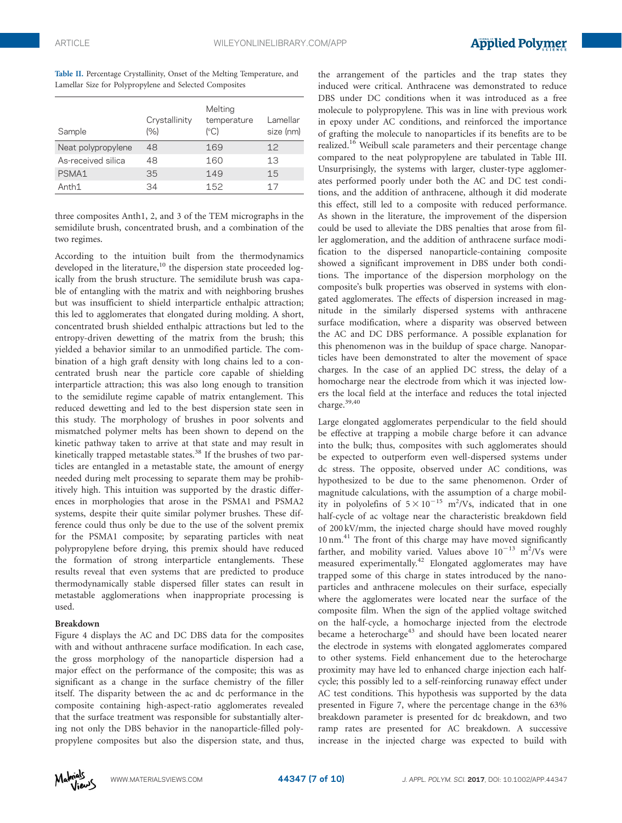Table II. Percentage Crystallinity, Onset of the Melting Temperature, and Lamellar Size for Polypropylene and Selected Composites

| Sample             | Crystallinity<br>$(\% )$ | Melting<br>temperature<br>(C) | Lamellar<br>size (nm) |
|--------------------|--------------------------|-------------------------------|-----------------------|
| Neat polypropylene | 48                       | 169                           | 12                    |
| As-received silica | 48                       | 160                           | 13                    |
| PSMA1              | 35                       | 149                           | 15                    |
| Anth1              | 34                       | 152                           | 17                    |

three composites Anth1, 2, and 3 of the TEM micrographs in the semidilute brush, concentrated brush, and a combination of the two regimes.

According to the intuition built from the thermodynamics developed in the literature, $^{10}$  the dispersion state proceeded logically from the brush structure. The semidilute brush was capable of entangling with the matrix and with neighboring brushes but was insufficient to shield interparticle enthalpic attraction; this led to agglomerates that elongated during molding. A short, concentrated brush shielded enthalpic attractions but led to the entropy-driven dewetting of the matrix from the brush; this yielded a behavior similar to an unmodified particle. The combination of a high graft density with long chains led to a concentrated brush near the particle core capable of shielding interparticle attraction; this was also long enough to transition to the semidilute regime capable of matrix entanglement. This reduced dewetting and led to the best dispersion state seen in this study. The morphology of brushes in poor solvents and mismatched polymer melts has been shown to depend on the kinetic pathway taken to arrive at that state and may result in kinetically trapped metastable states.<sup>38</sup> If the brushes of two particles are entangled in a metastable state, the amount of energy needed during melt processing to separate them may be prohibitively high. This intuition was supported by the drastic differences in morphologies that arose in the PSMA1 and PSMA2 systems, despite their quite similar polymer brushes. These difference could thus only be due to the use of the solvent premix for the PSMA1 composite; by separating particles with neat polypropylene before drying, this premix should have reduced the formation of strong interparticle entanglements. These results reveal that even systems that are predicted to produce thermodynamically stable dispersed filler states can result in metastable agglomerations when inappropriate processing is used.

# Breakdown

Figure 4 displays the AC and DC DBS data for the composites with and without anthracene surface modification. In each case, the gross morphology of the nanoparticle dispersion had a major effect on the performance of the composite; this was as significant as a change in the surface chemistry of the filler itself. The disparity between the ac and dc performance in the composite containing high-aspect-ratio agglomerates revealed that the surface treatment was responsible for substantially altering not only the DBS behavior in the nanoparticle-filled polypropylene composites but also the dispersion state, and thus,

the arrangement of the particles and the trap states they induced were critical. Anthracene was demonstrated to reduce DBS under DC conditions when it was introduced as a free molecule to polypropylene. This was in line with previous work in epoxy under AC conditions, and reinforced the importance of grafting the molecule to nanoparticles if its benefits are to be realized.<sup>16</sup> Weibull scale parameters and their percentage change compared to the neat polypropylene are tabulated in Table III. Unsurprisingly, the systems with larger, cluster-type agglomerates performed poorly under both the AC and DC test conditions, and the addition of anthracene, although it did moderate this effect, still led to a composite with reduced performance. As shown in the literature, the improvement of the dispersion could be used to alleviate the DBS penalties that arose from filler agglomeration, and the addition of anthracene surface modification to the dispersed nanoparticle-containing composite showed a significant improvement in DBS under both conditions. The importance of the dispersion morphology on the composite's bulk properties was observed in systems with elongated agglomerates. The effects of dispersion increased in magnitude in the similarly dispersed systems with anthracene surface modification, where a disparity was observed between the AC and DC DBS performance. A possible explanation for this phenomenon was in the buildup of space charge. Nanoparticles have been demonstrated to alter the movement of space charges. In the case of an applied DC stress, the delay of a homocharge near the electrode from which it was injected lowers the local field at the interface and reduces the total injected charge.<sup>39,40</sup>

Large elongated agglomerates perpendicular to the field should be effective at trapping a mobile charge before it can advance into the bulk; thus, composites with such agglomerates should be expected to outperform even well-dispersed systems under dc stress. The opposite, observed under AC conditions, was hypothesized to be due to the same phenomenon. Order of magnitude calculations, with the assumption of a charge mobility in polyolefins of  $5 \times 10^{-15}$  m<sup>2</sup>/Vs, indicated that in one half-cycle of ac voltage near the characteristic breakdown field of 200 kV/mm, the injected charge should have moved roughly  $10 \text{ nm}$ <sup>41</sup>. The front of this charge may have moved significantly farther, and mobility varied. Values above  $10^{-13}$  m<sup>2</sup>/Vs were measured experimentally.<sup>42</sup> Elongated agglomerates may have trapped some of this charge in states introduced by the nanoparticles and anthracene molecules on their surface, especially where the agglomerates were located near the surface of the composite film. When the sign of the applied voltage switched on the half-cycle, a homocharge injected from the electrode became a heterocharge<sup>43</sup> and should have been located nearer the electrode in systems with elongated agglomerates compared to other systems. Field enhancement due to the heterocharge proximity may have led to enhanced charge injection each halfcycle; this possibly led to a self-reinforcing runaway effect under AC test conditions. This hypothesis was supported by the data presented in Figure 7, where the percentage change in the 63% breakdown parameter is presented for dc breakdown, and two ramp rates are presented for AC breakdown. A successive increase in the injected charge was expected to build with

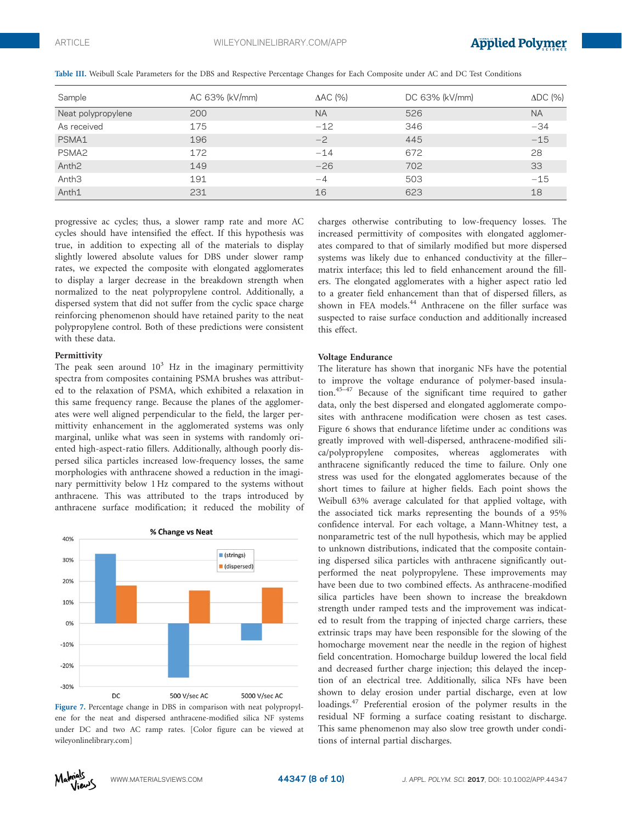| Sample             | AC 63% (kV/mm) | $\triangle$ AC (%) | DC 63% (kV/mm) | $\triangle$ DC $(\%)$ |
|--------------------|----------------|--------------------|----------------|-----------------------|
| Neat polypropylene | 200            | <b>NA</b>          | 526            | <b>NA</b>             |
| As received        | 175            | $-12$              | 346            | $-34$                 |
| PSMA1              | 196            | $-2$               | 445            | $-15$                 |
| PSMA <sub>2</sub>  | 172            | $-14$              | 672            | 28                    |
| Anth <sub>2</sub>  | 149            | $-26$              | 702            | 33                    |
| Anth <sub>3</sub>  | 191            | $-4$               | 503            | $-15$                 |
| Anth1              | 231            | 16                 | 623            | 18                    |

Table III. Weibull Scale Parameters for the DBS and Respective Percentage Changes for Each Composite under AC and DC Test Conditions

progressive ac cycles; thus, a slower ramp rate and more AC cycles should have intensified the effect. If this hypothesis was true, in addition to expecting all of the materials to display slightly lowered absolute values for DBS under slower ramp rates, we expected the composite with elongated agglomerates to display a larger decrease in the breakdown strength when normalized to the neat polypropylene control. Additionally, a dispersed system that did not suffer from the cyclic space charge reinforcing phenomenon should have retained parity to the neat polypropylene control. Both of these predictions were consistent with these data.

# Permittivity

The peak seen around  $10^3$  Hz in the imaginary permittivity spectra from composites containing PSMA brushes was attributed to the relaxation of PSMA, which exhibited a relaxation in this same frequency range. Because the planes of the agglomerates were well aligned perpendicular to the field, the larger permittivity enhancement in the agglomerated systems was only marginal, unlike what was seen in systems with randomly oriented high-aspect-ratio fillers. Additionally, although poorly dispersed silica particles increased low-frequency losses, the same morphologies with anthracene showed a reduction in the imaginary permittivity below 1 Hz compared to the systems without anthracene. This was attributed to the traps introduced by anthracene surface modification; it reduced the mobility of



Figure 7. Percentage change in DBS in comparison with neat polypropylene for the neat and dispersed anthracene-modified silica NF systems under DC and two AC ramp rates. [Color figure can be viewed at [wileyonlinelibrary.com](http://wileyonlinelibrary.com)]

charges otherwise contributing to low-frequency losses. The increased permittivity of composites with elongated agglomerates compared to that of similarly modified but more dispersed systems was likely due to enhanced conductivity at the filler– matrix interface; this led to field enhancement around the fillers. The elongated agglomerates with a higher aspect ratio led to a greater field enhancement than that of dispersed fillers, as shown in FEA models.<sup>44</sup> Anthracene on the filler surface was suspected to raise surface conduction and additionally increased this effect.

#### Voltage Endurance

The literature has shown that inorganic NFs have the potential to improve the voltage endurance of polymer-based insulation. $45-47$  Because of the significant time required to gather data, only the best dispersed and elongated agglomerate composites with anthracene modification were chosen as test cases. Figure 6 shows that endurance lifetime under ac conditions was greatly improved with well-dispersed, anthracene-modified silica/polypropylene composites, whereas agglomerates with anthracene significantly reduced the time to failure. Only one stress was used for the elongated agglomerates because of the short times to failure at higher fields. Each point shows the Weibull 63% average calculated for that applied voltage, with the associated tick marks representing the bounds of a 95% confidence interval. For each voltage, a Mann-Whitney test, a nonparametric test of the null hypothesis, which may be applied to unknown distributions, indicated that the composite containing dispersed silica particles with anthracene significantly outperformed the neat polypropylene. These improvements may have been due to two combined effects. As anthracene-modified silica particles have been shown to increase the breakdown strength under ramped tests and the improvement was indicated to result from the trapping of injected charge carriers, these extrinsic traps may have been responsible for the slowing of the homocharge movement near the needle in the region of highest field concentration. Homocharge buildup lowered the local field and decreased further charge injection; this delayed the inception of an electrical tree. Additionally, silica NFs have been shown to delay erosion under partial discharge, even at low loadings.<sup>47</sup> Preferential erosion of the polymer results in the residual NF forming a surface coating resistant to discharge. This same phenomenon may also slow tree growth under conditions of internal partial discharges.

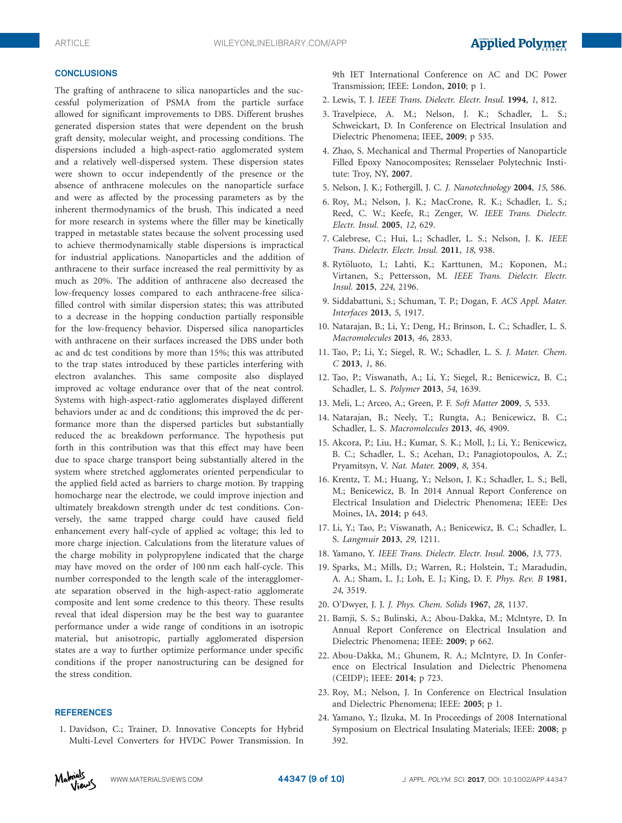#### **CONCLUSIONS**

The grafting of anthracene to silica nanoparticles and the successful polymerization of PSMA from the particle surface allowed for significant improvements to DBS. Different brushes generated dispersion states that were dependent on the brush graft density, molecular weight, and processing conditions. The dispersions included a high-aspect-ratio agglomerated system and a relatively well-dispersed system. These dispersion states were shown to occur independently of the presence or the absence of anthracene molecules on the nanoparticle surface and were as affected by the processing parameters as by the inherent thermodynamics of the brush. This indicated a need for more research in systems where the filler may be kinetically trapped in metastable states because the solvent processing used to achieve thermodynamically stable dispersions is impractical for industrial applications. Nanoparticles and the addition of anthracene to their surface increased the real permittivity by as much as 20%. The addition of anthracene also decreased the low-frequency losses compared to each anthracene-free silicafilled control with similar dispersion states; this was attributed to a decrease in the hopping conduction partially responsible for the low-frequency behavior. Dispersed silica nanoparticles with anthracene on their surfaces increased the DBS under both ac and dc test conditions by more than 15%; this was attributed to the trap states introduced by these particles interfering with electron avalanches. This same composite also displayed improved ac voltage endurance over that of the neat control. Systems with high-aspect-ratio agglomerates displayed different behaviors under ac and dc conditions; this improved the dc performance more than the dispersed particles but substantially reduced the ac breakdown performance. The hypothesis put forth in this contribution was that this effect may have been due to space charge transport being substantially altered in the system where stretched agglomerates oriented perpendicular to the applied field acted as barriers to charge motion. By trapping homocharge near the electrode, we could improve injection and ultimately breakdown strength under dc test conditions. Conversely, the same trapped charge could have caused field enhancement every half-cycle of applied ac voltage; this led to more charge injection. Calculations from the literature values of the charge mobility in polypropylene indicated that the charge may have moved on the order of 100 nm each half-cycle. This number corresponded to the length scale of the interagglomerate separation observed in the high-aspect-ratio agglomerate composite and lent some credence to this theory. These results reveal that ideal dispersion may be the best way to guarantee performance under a wide range of conditions in an isotropic material, but anisotropic, partially agglomerated dispersion states are a way to further optimize performance under specific conditions if the proper nanostructuring can be designed for the stress condition.

# **REFERENCES**

1. Davidson, C.; Trainer, D. Innovative Concepts for Hybrid Multi-Level Converters for HVDC Power Transmission. In

9th IET International Conference on AC and DC Power Transmission; IEEE: London, 2010; p 1.

- 2. Lewis, T. J. IEEE Trans. Dielectr. Electr. Insul. 1994, 1, 812.
- 3. Travelpiece, A. M.; Nelson, J. K.; Schadler, L. S.; Schweickart, D. In Conference on Electrical Insulation and Dielectric Phenomena; IEEE, 2009; p 535.
- 4. Zhao, S. Mechanical and Thermal Properties of Nanoparticle Filled Epoxy Nanocomposites; Rensselaer Polytechnic Institute: Troy, NY, 2007.
- 5. Nelson, J. K.; Fothergill, J. C. J. Nanotechnology 2004, 15, 586.
- 6. Roy, M.; Nelson, J. K.; MacCrone, R. K.; Schadler, L. S.; Reed, C. W.; Keefe, R.; Zenger, W. IEEE Trans. Dielectr. Electr. Insul. 2005, 12, 629.
- 7. Calebrese, C.; Hui, L.; Schadler, L. S.; Nelson, J. K. IEEE Trans. Dielectr. Electr. Insul. 2011, 18, 938.
- 8. Rytöluoto, I.; Lahti, K.; Karttunen, M.; Koponen, M.; Virtanen, S.; Pettersson, M. IEEE Trans. Dielectr. Electr. Insul. 2015, 224, 2196.
- 9. Siddabattuni, S.; Schuman, T. P.; Dogan, F. ACS Appl. Mater. Interfaces 2013, 5, 1917.
- 10. Natarajan, B.; Li, Y.; Deng, H.; Brinson, L. C.; Schadler, L. S. Macromolecules 2013, 46, 2833.
- 11. Tao, P.; Li, Y.; Siegel, R. W.; Schadler, L. S. J. Mater. Chem. C 2013, 1, 86.
- 12. Tao, P.; Viswanath, A.; Li, Y.; Siegel, R.; Benicewicz, B. C.; Schadler, L. S. Polymer 2013, 54, 1639.
- 13. Meli, L.; Arceo, A.; Green, P. F. Soft Matter 2009, 5, 533.
- 14. Natarajan, B.; Neely, T.; Rungta, A.; Benicewicz, B. C.; Schadler, L. S. Macromolecules 2013, 46, 4909.
- 15. Akcora, P.; Liu, H.; Kumar, S. K.; Moll, J.; Li, Y.; Benicewicz, B. C.; Schadler, L. S.; Acehan, D.; Panagiotopoulos, A. Z.; Pryamitsyn, V. Nat. Mater. 2009, 8, 354.
- 16. Krentz, T. M.; Huang, Y.; Nelson, J. K.; Schadler, L. S.; Bell, M.; Benicewicz, B. In 2014 Annual Report Conference on Electrical Insulation and Dielectric Phenomena; IEEE: Des Moines, IA, 2014; p 643.
- 17. Li, Y.; Tao, P.; Viswanath, A.; Benicewicz, B. C.; Schadler, L. S. Langmuir 2013, 29, 1211.
- 18. Yamano, Y. IEEE Trans. Dielectr. Electr. Insul. 2006, 13, 773.
- 19. Sparks, M.; Mills, D.; Warren, R.; Holstein, T.; Maradudin, A. A.; Sham, L. J.; Loh, E. J.; King, D. F. Phys. Rev. B 1981, 24, 3519.
- 20. O'Dwyer, J. J. J. Phys. Chem. Solids 1967, 28, 1137.
- 21. Bamji, S. S.; Bulinski, A.; Abou-Dakka, M.; Mclntyre, D. In Annual Report Conference on Electrical Insulation and Dielectric Phenomena; IEEE: 2009; p 662.
- 22. Abou-Dakka, M.; Ghunem, R. A.; McIntyre, D. In Conference on Electrical Insulation and Dielectric Phenomena (CEIDP); IEEE: 2014; p 723.
- 23. Roy, M.; Nelson, J. In Conference on Electrical Insulation and Dielectric Phenomena; IEEE: 2005; p 1.
- 24. Yamano, Y.; Ilzuka, M. In Proceedings of 2008 International Symposium on Electrical Insulating Materials; IEEE: 2008; p 392.